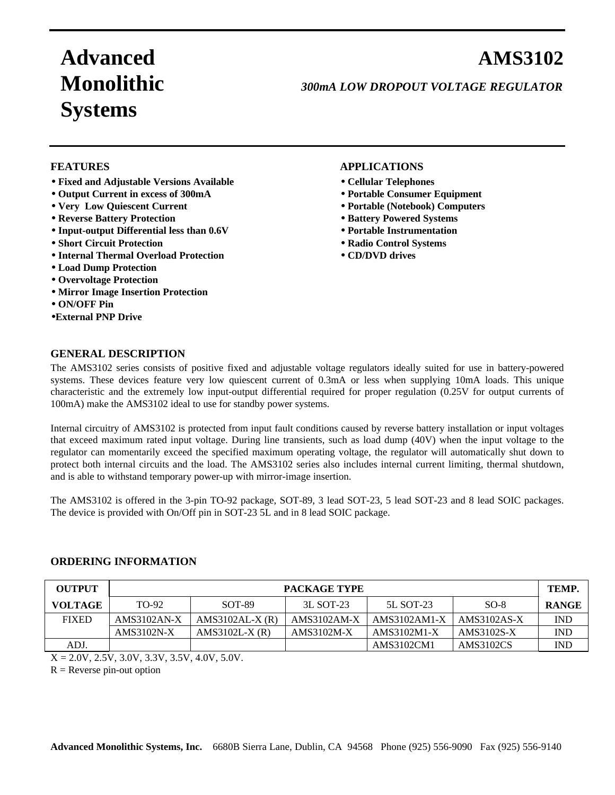# **Advanced AMS3102 Systems**

## **Monolithic** *300mA LOW DROPOUT VOLTAGE REGULATOR*

- • **Fixed and Adjustable Versions Available** • **Cellular Telephones**
- • **Output Current in excess of 300mA** • **Portable Consumer Equipment**
- 
- Reverse Battery Protection **•• Battery Powered Systems**
- • **Input-output Differential less than 0.6V** • **Portable Instrumentation**
- • **Short Circuit Protection** • **Radio Control Systems**
- • **Internal Thermal Overload Protection** • **CD/DVD drives**
- • **Load Dump Protection**
- **Overvoltage Protection**
- • **Mirror Image Insertion Protection**
- • **ON/OFF Pin**
- •**External PNP Drive**

#### **FEATURES APPLICATIONS**

- 
- 
- • **Very Low Quiescent Current** • **Portable (Notebook) Computers**
	-
	-
	-
	-

#### **GENERAL DESCRIPTION**

The AMS3102 series consists of positive fixed and adjustable voltage regulators ideally suited for use in battery-powered systems. These devices feature very low quiescent current of 0.3mA or less when supplying 10mA loads. This unique characteristic and the extremely low input-output differential required for proper regulation (0.25V for output currents of 100mA) make the AMS3102 ideal to use for standby power systems.

Internal circuitry of AMS3102 is protected from input fault conditions caused by reverse battery installation or input voltages that exceed maximum rated input voltage. During line transients, such as load dump (40V) when the input voltage to the regulator can momentarily exceed the specified maximum operating voltage, the regulator will automatically shut down to protect both internal circuits and the load. The AMS3102 series also includes internal current limiting, thermal shutdown, and is able to withstand temporary power-up with mirror-image insertion.

The AMS3102 is offered in the 3-pin TO-92 package, SOT-89, 3 lead SOT-23, 5 lead SOT-23 and 8 lead SOIC packages. The device is provided with On/Off pin in SOT-23 5L and in 8 lead SOIC package.

#### **ORDERING INFORMATION**

| <b>OUTPUT</b>  | PACKAGE TYPE |                   |             |              |             |              |
|----------------|--------------|-------------------|-------------|--------------|-------------|--------------|
| <b>VOLTAGE</b> | TO-92        | <b>SOT-89</b>     | 3L SOT-23   | 5L SOT-23    | $SO-8$      | <b>RANGE</b> |
| <b>FIXED</b>   | AMS3102AN-X  | $AMS3102AL-X (R)$ | AMS3102AM-X | AMS3102AM1-X | AMS3102AS-X | <b>IND</b>   |
|                | AMS3102N-X   | $AMS3102L-X (R)$  | AMS3102M-X  | AMS3102M1-X  | AMS3102S-X  | <b>IND</b>   |
| ADJ.           |              |                   |             | AMS3102CM1   | AMS3102CS   | <b>IND</b>   |

 $X = 2.0V, 2.5V, 3.0V, 3.3V, 3.5V, 4.0V, 5.0V.$ 

 $R$  = Reverse pin-out option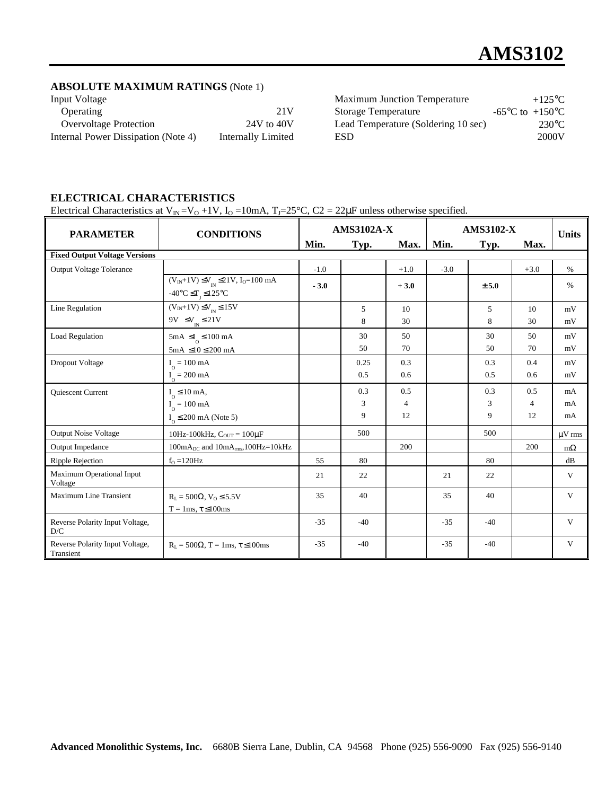#### **ABSOLUTE MAXIMUM RATINGS** (Note 1)

| Input Voltage                       |                    | <b>Maximum Junction Temperature</b> | $+125$ °C                             |
|-------------------------------------|--------------------|-------------------------------------|---------------------------------------|
| Operating                           | 21 V               | Storage Temperature                 | -65 $^{\circ}$ C to +150 $^{\circ}$ C |
| <b>Overvoltage Protection</b>       | $24V$ to $40V$     | Lead Temperature (Soldering 10 sec) | $230^{\circ}$ C                       |
| Internal Power Dissipation (Note 4) | Internally Limited | <b>ESD</b>                          | 2000V                                 |

## **ELECTRICAL CHARACTERISTICS**

Electrical Characteristics at  $V_{IN} = V_0 + 1V$ ,  $I_0 = 10mA$ ,  $T_J = 25°C$ ,  $C_2 = 22\mu$ F unless otherwise specified.

| <b>PARAMETER</b>                             | <b>CONDITIONS</b>                                                                                                       | <b>AMS3102A-X</b> |             |                       | <b>AMS3102-X</b> |            |                       | <b>Units</b> |
|----------------------------------------------|-------------------------------------------------------------------------------------------------------------------------|-------------------|-------------|-----------------------|------------------|------------|-----------------------|--------------|
|                                              |                                                                                                                         | Min.              | Typ.        | Max.                  | Min.             | Typ.       | Max.                  |              |
| <b>Fixed Output Voltage Versions</b>         |                                                                                                                         |                   |             |                       |                  |            |                       |              |
| <b>Output Voltage Tolerance</b>              |                                                                                                                         | $-1.0$            |             | $+1.0$                | $-3.0$           |            | $+3.0$                | $\%$         |
|                                              | $(V_{IN}+1V) \leq V_{IN} \leq 21V, I_0=100 \text{ mA}$<br>$-40^{\circ}$ C $\leq$ T <sub>1</sub> $\leq$ 125 $^{\circ}$ C | $-3.0$            |             | $+3.0$                |                  | ± 5.0      |                       | $\%$         |
| Line Regulation                              | $(V_{IN}+1V) \leq V_{IN} \leq 15V$<br>9V $\leq$ V <sub>IN</sub> $\leq$ 21V                                              |                   | 5<br>8      | 10<br>30              |                  | 5<br>8     | 10<br>30              | mV<br>mV     |
| Load Regulation                              | $5mA \leq I_0 \leq 100 mA$<br>$5mA \le 10 \le 200 mA$                                                                   |                   | 30<br>50    | 50<br>70              |                  | 30<br>50   | 50<br>70              | mV<br>mV     |
| Dropout Voltage                              | $I_0 = 100 \text{ mA}$<br>$I_0 = 200 \text{ mA}$                                                                        |                   | 0.25<br>0.5 | 0.3<br>0.6            |                  | 0.3<br>0.5 | 0.4<br>0.6            | mV<br>mV     |
| <b>Ouiescent Current</b>                     | $I_0 \leq 10$ mA,<br>$I_{\Omega} = 100 \text{ mA}$                                                                      |                   | 0.3<br>3    | 0.5<br>$\overline{4}$ |                  | 0.3<br>3   | 0.5<br>$\overline{4}$ | mA<br>mA     |
|                                              | $I_0 \leq 200$ mA (Note 5)                                                                                              |                   | 9           | 12                    |                  | 9          | 12                    | mA           |
| <b>Output Noise Voltage</b>                  | 10Hz-100kHz, $C_{OUT} = 100 \mu F$                                                                                      |                   | 500         |                       |                  | 500        |                       | $\mu$ V rms  |
| Output Impedance                             | $100mA_{DC}$ and $10mA_{rms}$ , $100Hz = 10kHz$                                                                         |                   |             | 200                   |                  |            | 200                   | $m\Omega$    |
| Ripple Rejection                             | $fO = 120 Hz$                                                                                                           | 55                | 80          |                       |                  | 80         |                       | dB           |
| Maximum Operational Input<br>Voltage         |                                                                                                                         | 21                | 22          |                       | 21               | 22         |                       | V            |
| <b>Maximum Line Transient</b>                | $R_L = 500 \Omega$ , $V_O \le 5.5 V$<br>$T = 1ms$ , $\tau \leq 100ms$                                                   | 35                | 40          |                       | 35               | 40         |                       | V            |
| Reverse Polarity Input Voltage,<br>D/C       |                                                                                                                         | $-35$             | $-40$       |                       | $-35$            | $-40$      |                       | V            |
| Reverse Polarity Input Voltage,<br>Transient | $R_L = 500\Omega$ , T = 1ms, $\tau \le 100$ ms                                                                          | $-35$             | $-40$       |                       | $-35$            | $-40$      |                       | V            |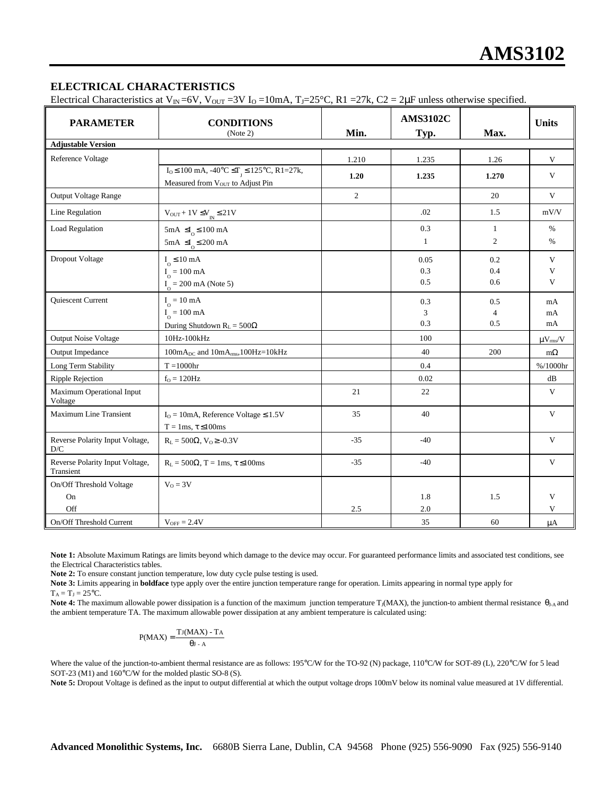#### **ELECTRICAL CHARACTERISTICS**

Electrical Characteristics at V<sub>IN</sub>=6V, V<sub>OUT</sub> = 3V I<sub>O</sub> = 10mA, T<sub>J</sub>=25°C, R1 = 27k, C2 = 2 $\mu$ F unless otherwise specified.

| <b>PARAMETER</b>                             | <b>CONDITIONS</b><br>(Note 2)                                                                                                    | Min.  | <b>AMS3102C</b><br>Typ. | Max.                         | <b>Units</b>           |
|----------------------------------------------|----------------------------------------------------------------------------------------------------------------------------------|-------|-------------------------|------------------------------|------------------------|
| <b>Adjustable Version</b>                    |                                                                                                                                  |       |                         |                              |                        |
| Reference Voltage                            |                                                                                                                                  | 1.210 | 1.235                   | 1.26                         | V                      |
|                                              | $I_0 \le 100$ mA, $-40^{\circ}C \le T$ <sub>J</sub> $\le 125^{\circ}C$ , R1=27k,<br>Measured from V <sub>OUT</sub> to Adjust Pin | 1.20  | 1.235                   | 1.270                        | V                      |
| <b>Output Voltage Range</b>                  |                                                                                                                                  | 2     |                         | 20                           | $\mathbf{V}$           |
| Line Regulation                              | $\rm V_{OUT}+1V \leq V_{IN} \leq 21V$                                                                                            |       | .02                     | 1.5                          | mV/V                   |
| Load Regulation                              | $5mA \leq I_0 \leq 100 mA$<br>$5\text{mA } \leq I_0 \leq 200 \text{ mA}$                                                         |       | 0.3<br>1                | 1<br>2                       | $\%$<br>$\%$           |
| Dropout Voltage                              | $I_0 \leq 10 \text{ mA}$<br>$I_{\rm_O}$ = 100 mA<br>$I_0 = 200 \text{ mA}$ (Note 5)                                              |       | 0.05<br>0.3<br>0.5      | 0.2<br>0.4<br>0.6            | $\mathbf{V}$<br>V<br>V |
| <b>Ouiescent Current</b>                     | $I_{\odot} = 10 \text{ mA}$<br>$I_{\Omega} = 100 \text{ mA}$<br>During Shutdown $R_L = 500\Omega$                                |       | 0.3<br>3<br>0.3         | 0.5<br>$\overline{4}$<br>0.5 | mA<br>mA<br>mA         |
| <b>Output Noise Voltage</b>                  | 10Hz-100kHz                                                                                                                      |       | 100                     |                              | $\mu V_{rms}/V$        |
| Output Impedance                             | $100mA_{DC}$ and $10mA_{rms}$ , $100Hz = 10kHz$                                                                                  |       | 40                      | 200                          | $m\Omega$              |
| Long Term Stability                          | $T = 1000$ hr                                                                                                                    |       | 0.4                     |                              | %/1000hr               |
| Ripple Rejection                             | $fO = 120 Hz$                                                                                                                    |       | 0.02                    |                              | dB                     |
| Maximum Operational Input<br>Voltage         |                                                                                                                                  | 21    | 22                      |                              | V                      |
| Maximum Line Transient                       | $IO = 10mA$ , Reference Voltage $\leq 1.5V$<br>$T = 1ms$ , $\tau \leq 100ms$                                                     | 35    | 40                      |                              | V                      |
| Reverse Polarity Input Voltage,<br>D/C       | $R_L = 500\Omega$ , $V_O \ge -0.3V$                                                                                              | $-35$ | $-40$                   |                              | $\mathbf{V}$           |
| Reverse Polarity Input Voltage,<br>Transient | $R_L = 500\Omega$ , T = 1ms, $\tau \le 100$ ms                                                                                   | $-35$ | $-40$                   |                              | V                      |
| On/Off Threshold Voltage                     | $V_0 = 3V$                                                                                                                       |       |                         |                              |                        |
| On                                           |                                                                                                                                  |       | 1.8                     | 1.5                          | V                      |
| Off                                          |                                                                                                                                  | 2.5   | 2.0                     |                              | V                      |
| On/Off Threshold Current                     | $V_{OFF} = 2.4V$                                                                                                                 |       | 35                      | 60                           | $\mu A$                |

Note 1: Absolute Maximum Ratings are limits beyond which damage to the device may occur. For guaranteed performance limits and associated test conditions, see the Electrical Characteristics tables.

**Note 2:** To ensure constant junction temperature, low duty cycle pulse testing is used.

**Note 3:** Limits appearing in **boldface** type apply over the entire junction temperature range for operation. Limits appearing in normal type apply for

 $T_A = T_J = 25$ °C.

Note 4: The maximum allowable power dissipation is a function of the maximum junction temperature T<sub>J</sub>(MAX), the junction-to ambient thermal resistance θ<sub>J-A</sub> and the ambient temperature TA. The maximum allowable power dissipation at any ambient temperature is calculated using:

$$
P(MAX) = \frac{TJ(MAX) - T_A}{qJ - A}
$$

Where the value of the junction-to-ambient thermal resistance are as follows: 195°C/W for the TO-92 (N) package, 110°C/W for SOT-89 (L), 220°C/W for 5 lead SOT-23 (M1) and 160°C/W for the molded plastic SO-8 (S).

Note 5: Dropout Voltage is defined as the input to output differential at which the output voltage drops 100mV below its nominal value measured at 1V differential.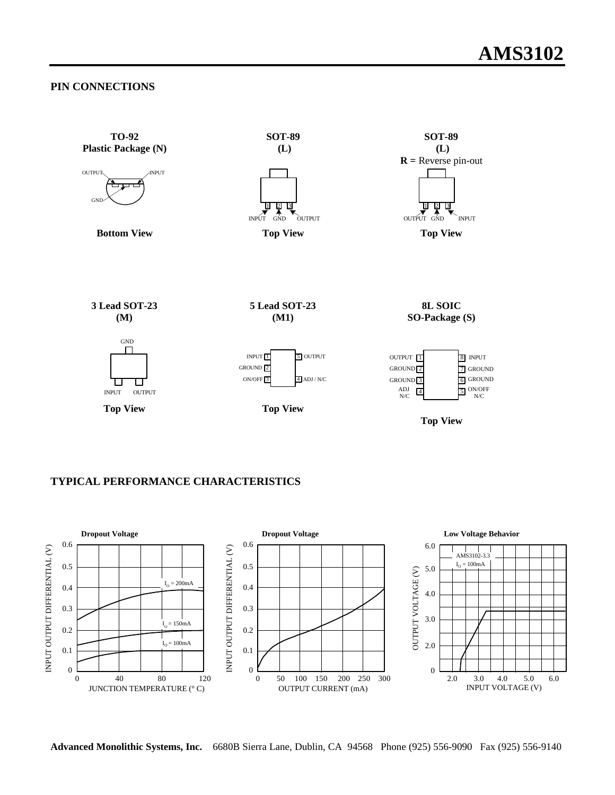#### **PIN CONNECTIONS**



### **TYPICAL PERFORMANCE CHARACTERISTICS**



**Advanced Monolithic Systems, Inc.** 6680B Sierra Lane, Dublin, CA 94568 Phone (925) 556-9090 Fax (925) 556-9140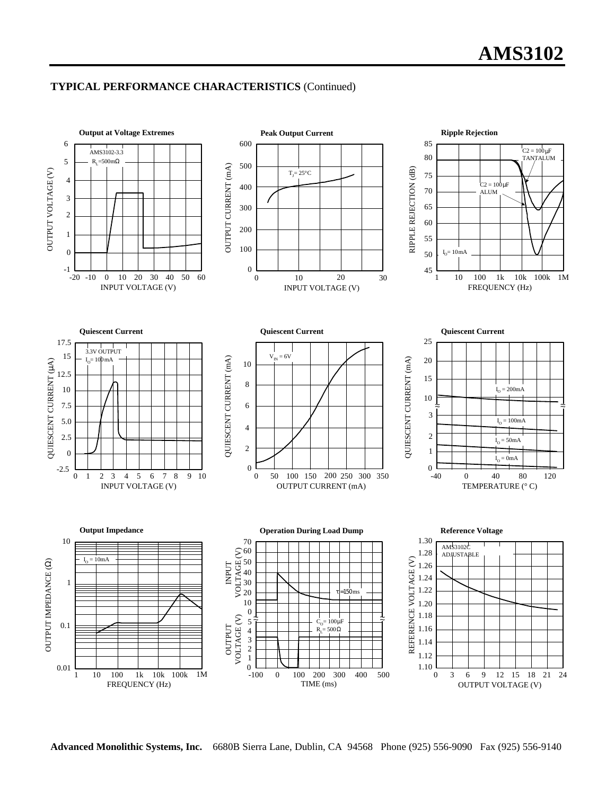### **TYPICAL PERFORMANCE CHARACTERISTICS** (Continued)



**Advanced Monolithic Systems, Inc.** 6680B Sierra Lane, Dublin, CA 94568 Phone (925) 556-9090 Fax (925) 556-9140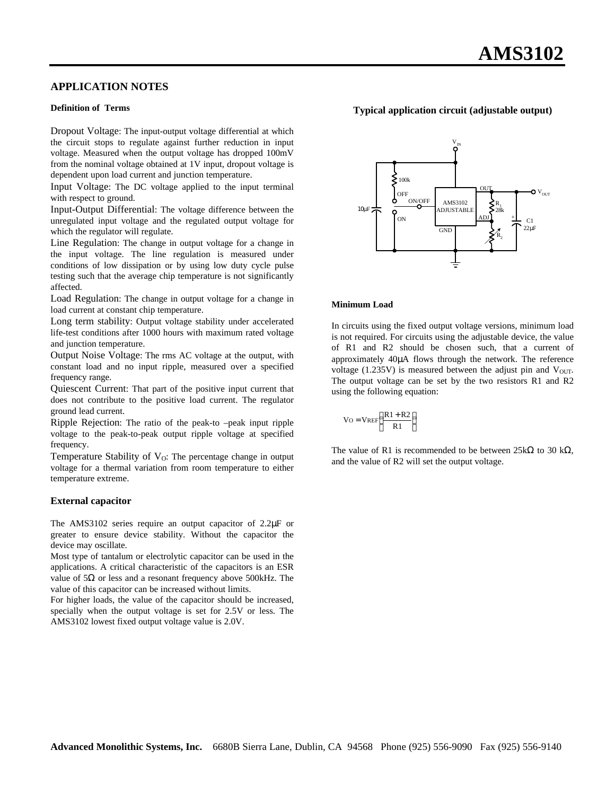#### **APPLICATION NOTES**

#### **Definition of Terms**

Dropout Voltage: The input-output voltage differential at which the circuit stops to regulate against further reduction in input voltage. Measured when the output voltage has dropped 100mV from the nominal voltage obtained at 1V input, dropout voltage is dependent upon load current and junction temperature.

Input Voltage: The DC voltage applied to the input terminal with respect to ground.

Input-Output Differential: The voltage difference between the unregulated input voltage and the regulated output voltage for which the regulator will regulate.

Line Regulation: The change in output voltage for a change in the input voltage. The line regulation is measured under conditions of low dissipation or by using low duty cycle pulse testing such that the average chip temperature is not significantly affected.

Load Regulation: The change in output voltage for a change in load current at constant chip temperature.

Long term stability: Output voltage stability under accelerated life-test conditions after 1000 hours with maximum rated voltage and junction temperature.

Output Noise Voltage: The rms AC voltage at the output, with constant load and no input ripple, measured over a specified frequency range.

Quiescent Current: That part of the positive input current that does not contribute to the positive load current. The regulator ground lead current.

Ripple Rejection: The ratio of the peak-to –peak input ripple voltage to the peak-to-peak output ripple voltage at specified frequency.

Temperature Stability of  $V<sub>O</sub>$ : The percentage change in output voltage for a thermal variation from room temperature to either temperature extreme.

#### **External capacitor**

The AMS3102 series require an output capacitor of 2.2μF or greater to ensure device stability. Without the capacitor the device may oscillate.

Most type of tantalum or electrolytic capacitor can be used in the applications. A critical characteristic of the capacitors is an ESR value of 5Ω or less and a resonant frequency above 500kHz. The value of this capacitor can be increased without limits.

For higher loads, the value of the capacitor should be increased, specially when the output voltage is set for 2.5V or less. The AMS3102 lowest fixed output voltage value is 2.0V.



#### **Typical application circuit (adjustable output)**

#### **Minimum Load**

In circuits using the fixed output voltage versions, minimum load is not required. For circuits using the adjustable device, the value of R1 and R2 should be chosen such, that a current of approximately 40μA flows through the network. The reference voltage (1.235V) is measured between the adjust pin and  $V_{\text{OUT}}$ . The output voltage can be set by the two resistors R1 and R2 using the following equation:

$$
V_O = VREF\left(\frac{R1 + R2}{R1}\right)
$$

The value of R1 is recommended to be between  $25k\Omega$  to 30 k $\Omega$ , and the value of R2 will set the output voltage.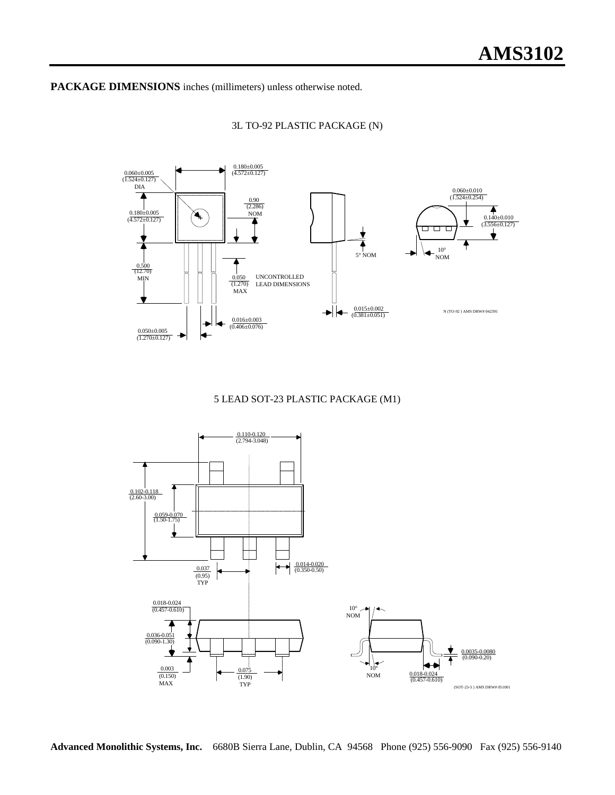**PACKAGE DIMENSIONS** inches (millimeters) unless otherwise noted.

3L TO-92 PLASTIC PACKAGE (N)



#### 5 LEAD SOT-23 PLASTIC PACKAGE (M1)



**Advanced Monolithic Systems, Inc.** 6680B Sierra Lane, Dublin, CA 94568 Phone (925) 556-9090 Fax (925) 556-9140